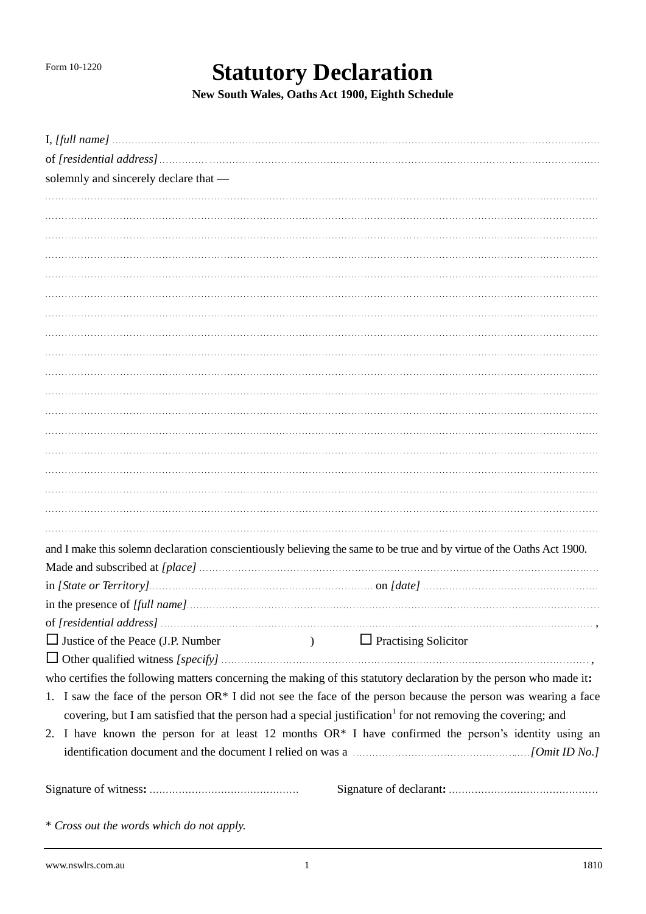## **Statutory Declaration**

New South Wales, Oaths Act 1900, Eighth Schedule

| solemnly and sincerely declare that -                                                                                    |                                                                                                                       |
|--------------------------------------------------------------------------------------------------------------------------|-----------------------------------------------------------------------------------------------------------------------|
|                                                                                                                          |                                                                                                                       |
|                                                                                                                          |                                                                                                                       |
|                                                                                                                          |                                                                                                                       |
|                                                                                                                          |                                                                                                                       |
|                                                                                                                          |                                                                                                                       |
|                                                                                                                          |                                                                                                                       |
|                                                                                                                          |                                                                                                                       |
|                                                                                                                          |                                                                                                                       |
|                                                                                                                          |                                                                                                                       |
|                                                                                                                          |                                                                                                                       |
|                                                                                                                          |                                                                                                                       |
|                                                                                                                          |                                                                                                                       |
|                                                                                                                          |                                                                                                                       |
|                                                                                                                          |                                                                                                                       |
|                                                                                                                          |                                                                                                                       |
|                                                                                                                          |                                                                                                                       |
|                                                                                                                          |                                                                                                                       |
|                                                                                                                          |                                                                                                                       |
|                                                                                                                          | and I make this solemn declaration conscientiously believing the same to be true and by virtue of the Oaths Act 1900. |
|                                                                                                                          |                                                                                                                       |
|                                                                                                                          |                                                                                                                       |
|                                                                                                                          |                                                                                                                       |
|                                                                                                                          |                                                                                                                       |
| $\Box$ Justice of the Peace (J.P. Number                                                                                 | $\Box$ Practising Solicitor                                                                                           |
|                                                                                                                          |                                                                                                                       |
|                                                                                                                          | who certifies the following matters concerning the making of this statutory declaration by the person who made it:    |
|                                                                                                                          | 1. I saw the face of the person OR* I did not see the face of the person because the person was wearing a face        |
| covering, but I am satisfied that the person had a special justification <sup>1</sup> for not removing the covering; and |                                                                                                                       |
|                                                                                                                          | 2. I have known the person for at least 12 months OR* I have confirmed the person's identity using an                 |
|                                                                                                                          | identification document and the document I relied on was a manufactured controller (Omit ID No.]                      |
|                                                                                                                          |                                                                                                                       |
|                                                                                                                          |                                                                                                                       |
|                                                                                                                          |                                                                                                                       |

\* Cross out the words which do not apply.